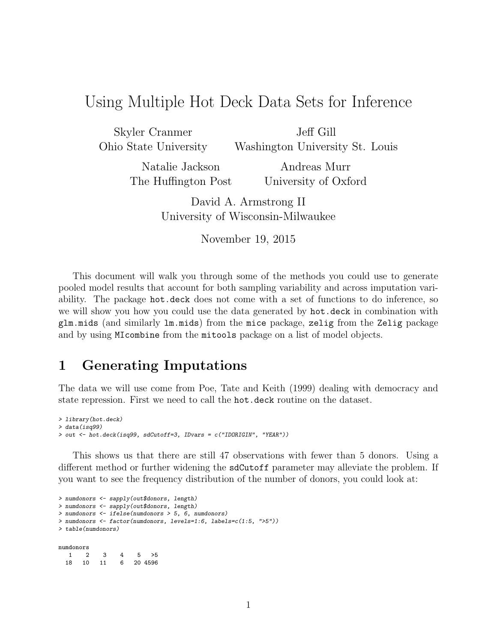# Using Multiple Hot Deck Data Sets for Inference

Skyler Cranmer Ohio State University Jeff Gill Washington University St. Louis

Natalie Jackson The Huffington Post

Andreas Murr University of Oxford

David A. Armstrong II University of Wisconsin-Milwaukee

November 19, 2015

This document will walk you through some of the methods you could use to generate pooled model results that account for both sampling variability and across imputation variability. The package hot.deck does not come with a set of functions to do inference, so we will show you how you could use the data generated by hot.deck in combination with glm.mids (and similarly lm.mids) from the mice package, zelig from the Zelig package and by using MIcombine from the mitools package on a list of model objects.

## 1 Generating Imputations

The data we will use come from Poe, Tate and Keith (1999) dealing with democracy and state repression. First we need to call the hot.deck routine on the dataset.

```
> library(hot.deck)
> data(isq99)
> out <- hot.deck(isq99, sdCutoff=3, IDvars = c("IDORIGIN", "YEAR"))
```
This shows us that there are still 47 observations with fewer than 5 donors. Using a different method or further widening the sdCutoff parameter may alleviate the problem. If you want to see the frequency distribution of the number of donors, you could look at:

```
> numdonors <- sapply(out$donors, length)
> numdonors <- sapply(out$donors, length)
> numdonors <- ifelse(numdonors > 5, 6, numdonors)
> numdonors <- factor(numdonors, levels=1:6, labels=c(1:5, ">5"))
> table(numdonors)
numdonors
 1 2 3 4 5 >5
 18 10 11 6 20 4596
```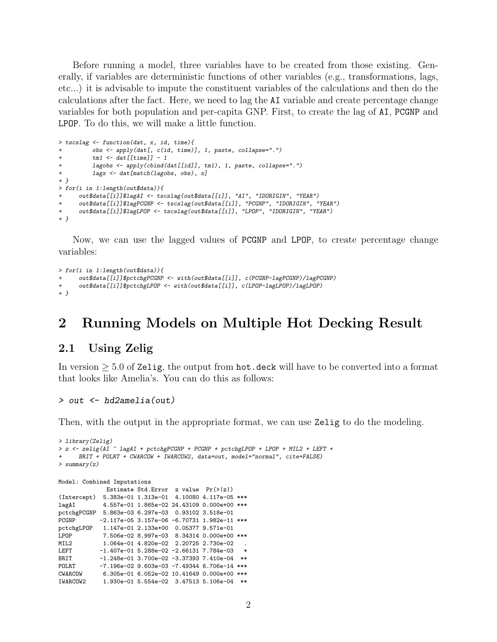Before running a model, three variables have to be created from those existing. Generally, if variables are deterministic functions of other variables (e.g., transformations, lags, etc...) it is advisable to impute the constituent variables of the calculations and then do the calculations after the fact. Here, we need to lag the AI variable and create percentage change variables for both population and per-capita GNP. First, to create the lag of AI, PCGNP and LPOP. To do this, we will make a little function.

```
> tscslag <- function(dat, x, id, time){
+ obs <- apply(dat[, c(id, time)], 1, paste, collapse=".")
+ tm1 \leftarrow dat[[time]] - 1+ lagobs <- apply(cbind(dat[[id]], tm1), 1, paste, collapse=".")<br>+ lagx <- dat[match(lagobs, obs), x]
          lagx <- dat[match(lagobs, obs), x]
+ }
> for(i in 1:length(out$data)){
      out$data[[i]]$lagAI <- tscslag(out$data[[i]], "AI", "IDORIGIN", "YEAR")
      + out$data[[i]]$lagPCGNP <- tscslag(out$data[[i]], "PCGNP", "IDORIGIN", "YEAR")
+ out$data[[i]]$lagLPOP <- tscslag(out$data[[i]], "LPOP", "IDORIGIN", "YEAR")
+ }
```
Now, we can use the lagged values of PCGNP and LPOP, to create percentage change variables:

```
> for(i in 1:length(out$data)){
     + out$data[[i]]$pctchgPCGNP <- with(out$data[[i]], c(PCGNP-lagPCGNP)/lagPCGNP)
+ out$data[[i]]$pctchgLPOP <- with(out$data[[i]], c(LPOP-lagLPOP)/lagLPOP)
+ }
```
## 2 Running Models on Multiple Hot Decking Result

### 2.1 Using Zelig

In version ≥ 5.0 of Zelig, the output from hot.deck will have to be converted into a format that looks like Amelia's. You can do this as follows:

#### > out <- hd2amelia(out)

Then, with the output in the appropriate format, we can use Zelig to do the modeling.

```
> library(Zelig)
> z <- zelig(AI ~ lagAI + pctchgPCGNP + PCGNP + pctchgLPOP + LPOP + MIL2 + LEFT +
     + BRIT + POLRT + CWARCOW + IWARCOW2, data=out, model="normal", cite=FALSE)
> summary(z)
Model: Combined Imputations
             Estimate Std.Error z value Pr(>|z|)
(Intercept) 5.383e-01 1.313e-01 4.10080 4.117e-05 ***
lagAI 4.557e-01 1.865e-02 24.43109 0.000e+00 ***
pctchgPCGNP 5.863e-03 6.297e-03 0.93102 3.518e-01
           -2.117e-05 3.157e-06 -6.70731 1.982e-11 ***
pctchgLPOP 1.147e-01 2.133e+00 0.05377 9.571e-01<br>LPOP 7.506e-02 8.997e-03 8.34314 0.000e+00
           LPOP 7.506e-02 8.997e-03 8.34314 0.000e+00 ***
MIL2 1.064e-01 4.820e-02 2.20725 2.730e-02
LEFT -1.407e-01 5.288e-02 -2.66131 7.784e-03
BRIT -1.248e-01 3.700e-02 -3.37393 7.410e-04 **
POLRT -7.196e-02 9.603e-03 -7.49344 6.706e-14 ***
            6.305e-01 6.052e-02 10.41649 0.000e+00 ***
IWARCOW2 1.930e-01 5.554e-02 3.47513 5.106e-04 **
```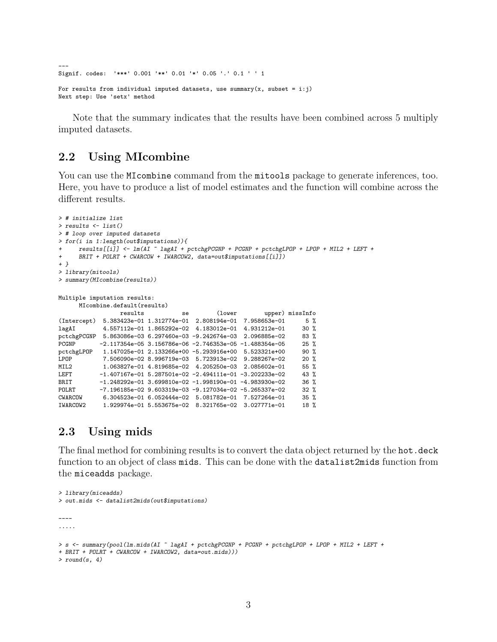Signif. codes: '\*\*\*' 0.001 '\*\*' 0.01 '\*' 0.05 '.' 0.1 ' ' 1 For results from individual imputed datasets, use summary(x, subset = i:j)

Next step: Use 'setx' method

---

Note that the summary indicates that the results have been combined across 5 multiply imputed datasets.

### 2.2 Using MIcombine

You can use the MIcombine command from the mitools package to generate inferences, too. Here, you have to produce a list of model estimates and the function will combine across the different results.

```
> # initialize list
> results <- list()
> # loop over imputed datasets
> for(i in 1:length(out$imputations)){
     results[[ij]] \leftarrow lm(AI \sim lagAI + pctchgPGNP + PCGNP + pctchgLPOP + LPOP + MIL2 + LEFT ++ BRIT + POLRT + CWARCOW + IWARCOW2, data=out$imputations[[i]])
+ }
> library(mitools)
> summary(MIcombine(results))
Multiple imputation results:
     MIcombine.default(results)
                results se (lower upper) missInfo
(Intercept) 5.383423e-01 1.312774e-01 2.808194e-01 7.958653e-01 5 %
lagAI 4.557112e-01 1.865292e-02 4.183012e-01 4.931212e-01 30 %
pctchgPCGNP 5.863086e-03 6.297460e-03 -9.242674e-03 2.096885e-02 83 %
PCGNP -2.117354e-05 3.156786e-06 -2.746353e-05 -1.488354e-05 25 %
pctchgLPOP 1.147025e-01 2.133266e+00 -5.293916e+00 5.523321e+00 90 %
LPOP 7.506090e-02 8.996719e-03 5.723913e-02 9.288267e-02 20 %
MIL2 1.063827e-01 4.819685e-02 4.205250e-03 2.085602e-01 55 %
LEFT -1.407167e-01 5.287501e-02 -2.494111e-01 -3.202233e-02 43 %
BRIT -1.248292e-01 3.699810e-02 -1.998190e-01 -4.983930e-02 36 %
POLRT -7.196185e-02 9.603319e-03 -9.127034e-02 -5.265337e-02 32 %
CWARCOW 6.304523e-01 6.052444e-02 5.081782e-01 7.527264e-01 35 %
           1.929974e-01 5.553675e-02 8.321765e-02 3.027771e-01 18 %
```
### 2.3 Using mids

The final method for combining results is to convert the data object returned by the hot.deck function to an object of class mids. This can be done with the datalist2mids function from the miceadds package.

```
> library(miceadds)
> out.mids <- datalist2mids(out$imputations)
----
.....
> s <- summary(pool(lm.mids(AI ~ lagAI + pctchgPCGNP + PCGNP + pctchgLPOP + LPOP + MIL2 + LEFT +
+ BRIT + POLRT + CWARCOW + IWARCOW2, data=out.mids)))
> round(s, 4)
```